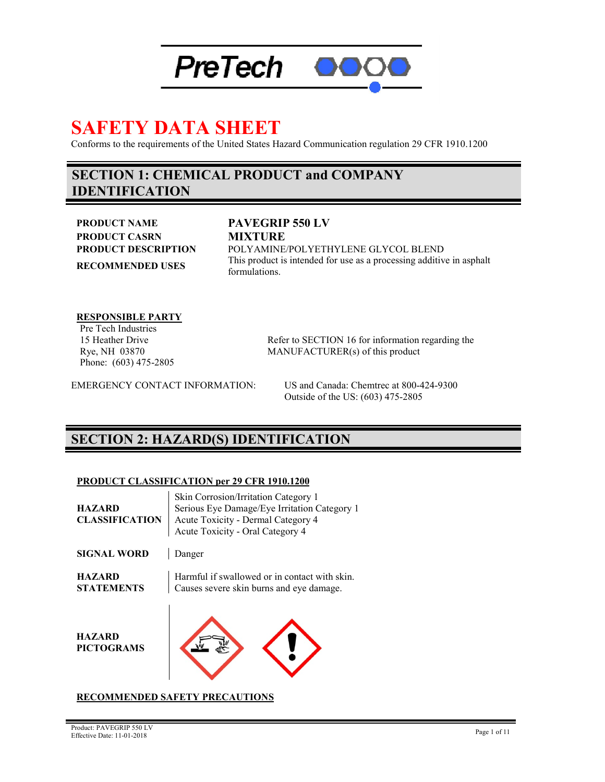

# **SAFETY DATA SHEET**

Conforms to the requirements of the United States Hazard Communication regulation 29 CFR 1910.1200

### **SECTION 1: CHEMICAL PRODUCT and COMPANY IDENTIFICATION**

**PRODUCT NAME PAVEGRIP 550 LV PRODUCT CASRN MIXTURE**

#### **PRODUCT DESCRIPTION** POLYAMINE/POLYETHYLENE GLYCOL BLEND **RECOMMENDED USES** This product is intended for use as a processing additive in asphalt formulations.

**RESPONSIBLE PARTY**

Pre Tech Industries 15 Heather Drive Rye, NH 03870 Phone: (603) 475-2805

Refer to SECTION 16 for information regarding the MANUFACTURER(s) of this product

EMERGENCY CONTACT INFORMATION: US and Canada: Chemtrec at 800-424-9300

Outside of the US: (603) 475-2805

### **SECTION 2: HAZARD(S) IDENTIFICATION**

#### **PRODUCT CLASSIFICATION per 29 CFR 1910.1200**

| <b>HAZARD</b><br><b>CLASSIFICATION</b> | Skin Corrosion/Irritation Category 1<br>Serious Eye Damage/Eye Irritation Category 1<br>Acute Toxicity - Dermal Category 4<br>Acute Toxicity - Oral Category 4 |  |
|----------------------------------------|----------------------------------------------------------------------------------------------------------------------------------------------------------------|--|
| <b>SIGNAL WORD</b>                     | Danger                                                                                                                                                         |  |
| <b>HAZARD</b><br><b>STATEMENTS</b>     | Harmful if swallowed or in contact with skin.<br>Causes severe skin burns and eye damage.                                                                      |  |
| <b>HAZARD</b><br><b>PICTOGRAMS</b>     |                                                                                                                                                                |  |

#### **RECOMMENDED SAFETY PRECAUTIONS**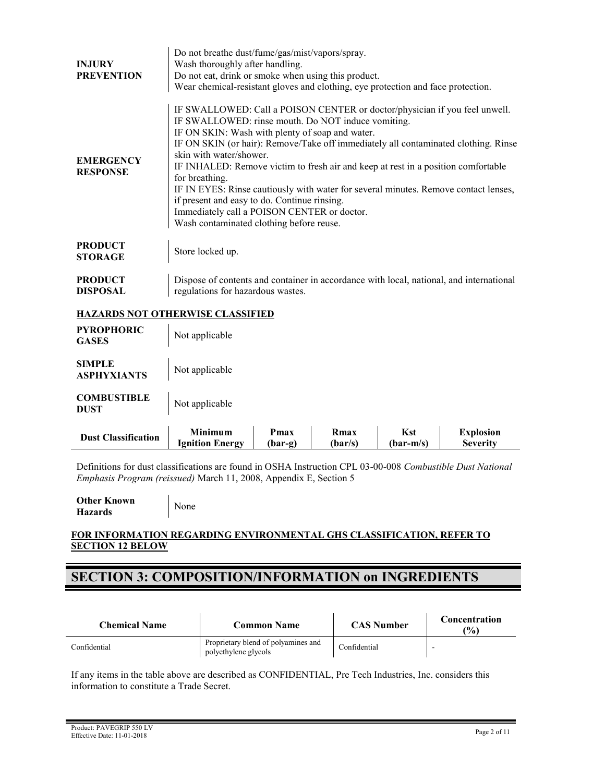| <b>INJURY</b><br><b>PREVENTION</b>  | Do not breathe dust/fume/gas/mist/vapors/spray.<br>Wash thoroughly after handling.<br>Do not eat, drink or smoke when using this product.<br>Wear chemical-resistant gloves and clothing, eye protection and face protection.                                                                                                                                                                                                                                                                                                                                                                                                                 |
|-------------------------------------|-----------------------------------------------------------------------------------------------------------------------------------------------------------------------------------------------------------------------------------------------------------------------------------------------------------------------------------------------------------------------------------------------------------------------------------------------------------------------------------------------------------------------------------------------------------------------------------------------------------------------------------------------|
| <b>EMERGENCY</b><br><b>RESPONSE</b> | IF SWALLOWED: Call a POISON CENTER or doctor/physician if you feel unwell.<br>IF SWALLOWED: rinse mouth. Do NOT induce vomiting.<br>IF ON SKIN: Wash with plenty of soap and water.<br>IF ON SKIN (or hair): Remove/Take off immediately all contaminated clothing. Rinse<br>skin with water/shower.<br>IF INHALED: Remove victim to fresh air and keep at rest in a position comfortable<br>for breathing.<br>IF IN EYES: Rinse cautiously with water for several minutes. Remove contact lenses,<br>if present and easy to do. Continue rinsing.<br>Immediately call a POISON CENTER or doctor.<br>Wash contaminated clothing before reuse. |
| <b>PRODUCT</b><br><b>STORAGE</b>    | Store locked up.                                                                                                                                                                                                                                                                                                                                                                                                                                                                                                                                                                                                                              |
| <b>PRODUCT</b><br><b>DISPOSAL</b>   | Dispose of contents and container in accordance with local, national, and international<br>regulations for hazardous wastes.                                                                                                                                                                                                                                                                                                                                                                                                                                                                                                                  |

#### **HAZARDS NOT OTHERWISE CLASSIFIED**

| <b>Dust Classification</b>          | <b>Minimum</b><br><b>Ignition Energy</b> | Pmax<br>$(bar-g)$ | Rmax<br>(bar/s) | <b>Kst</b><br>$(bar-m/s)$ | <b>Explosion</b><br><b>Severity</b> |
|-------------------------------------|------------------------------------------|-------------------|-----------------|---------------------------|-------------------------------------|
| <b>COMBUSTIBLE</b><br><b>DUST</b>   | Not applicable                           |                   |                 |                           |                                     |
| <b>SIMPLE</b><br><b>ASPHYXIANTS</b> | Not applicable                           |                   |                 |                           |                                     |
| <b>PYROPHORIC</b><br><b>GASES</b>   | Not applicable                           |                   |                 |                           |                                     |

Definitions for dust classifications are found in OSHA Instruction CPL 03-00-008 *Combustible Dust National Emphasis Program (reissued)* March 11, 2008, Appendix E, Section 5

**Other Known Hazards** None

#### **FOR INFORMATION REGARDING ENVIRONMENTAL GHS CLASSIFICATION, REFER TO SECTION 12 BELOW**

### **SECTION 3: COMPOSITION/INFORMATION on INGREDIENTS**

| <b>Chemical Name</b> | Common Name                                                 | <b>CAS Number</b> | Concentration<br>$($ %) |
|----------------------|-------------------------------------------------------------|-------------------|-------------------------|
| Confidential         | Proprietary blend of polyamines and<br>polyethylene glycols | Confidential      |                         |

If any items in the table above are described as CONFIDENTIAL, Pre Tech Industries, Inc. considers this information to constitute a Trade Secret.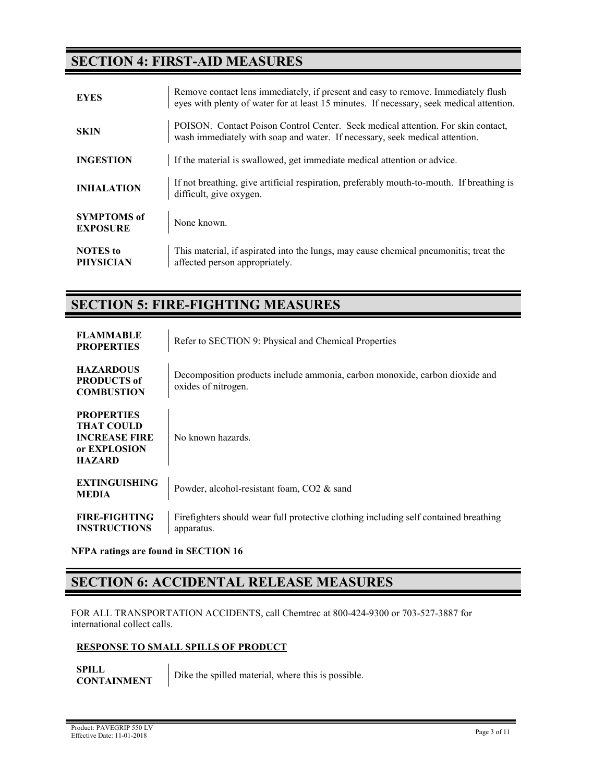### **SECTION 4: FIRST-AID MEASURES**

| <b>EYES</b>                           | Remove contact lens immediately, if present and easy to remove. Immediately flush<br>eyes with plenty of water for at least 15 minutes. If necessary, seek medical attention. |
|---------------------------------------|-------------------------------------------------------------------------------------------------------------------------------------------------------------------------------|
| <b>SKIN</b>                           | POISON. Contact Poison Control Center. Seek medical attention. For skin contact,<br>wash immediately with soap and water. If necessary, seek medical attention.               |
| <b>INGESTION</b>                      | If the material is swallowed, get immediate medical attention or advice.                                                                                                      |
| <b>INHALATION</b>                     | If not breathing, give artificial respiration, preferably mouth-to-mouth. If breathing is<br>difficult, give oxygen.                                                          |
| <b>SYMPTOMS</b> of<br><b>EXPOSURE</b> | None known.                                                                                                                                                                   |
| <b>NOTES</b> to<br><b>PHYSICIAN</b>   | This material, if aspirated into the lungs, may cause chemical pneumonitis; treat the<br>affected person appropriately.                                                       |

### **SECTION 5: FIRE-FIGHTING MEASURES**

| <b>FLAMMABLE</b><br><b>PROPERTIES</b>                                                           | Refer to SECTION 9: Physical and Chemical Properties                                               |
|-------------------------------------------------------------------------------------------------|----------------------------------------------------------------------------------------------------|
| <b>HAZARDOUS</b><br><b>PRODUCTS of</b><br><b>COMBUSTION</b>                                     | Decomposition products include ammonia, carbon monoxide, carbon dioxide and<br>oxides of nitrogen. |
| <b>PROPERTIES</b><br><b>THAT COULD</b><br><b>INCREASE FIRE</b><br>or EXPLOSION<br><b>HAZARD</b> | No known hazards.                                                                                  |
| <b>EXTINGUISHING</b><br><b>MEDIA</b>                                                            | Powder, alcohol-resistant foam, CO2 & sand                                                         |
| <b>FIRE-FIGHTING</b><br><b>INSTRUCTIONS</b>                                                     | Firefighters should wear full protective clothing including self contained breathing<br>apparatus. |

**NFPA ratings are found in SECTION 16**

### **SECTION 6: ACCIDENTAL RELEASE MEASURES**

FOR ALL TRANSPORTATION ACCIDENTS, call Chemtrec at 800-424-9300 or 703-527-3887 for international collect calls.

#### **RESPONSE TO SMALL SPILLS OF PRODUCT**

**SPILL CONTAINMENT** Dike the spilled material, where this is possible.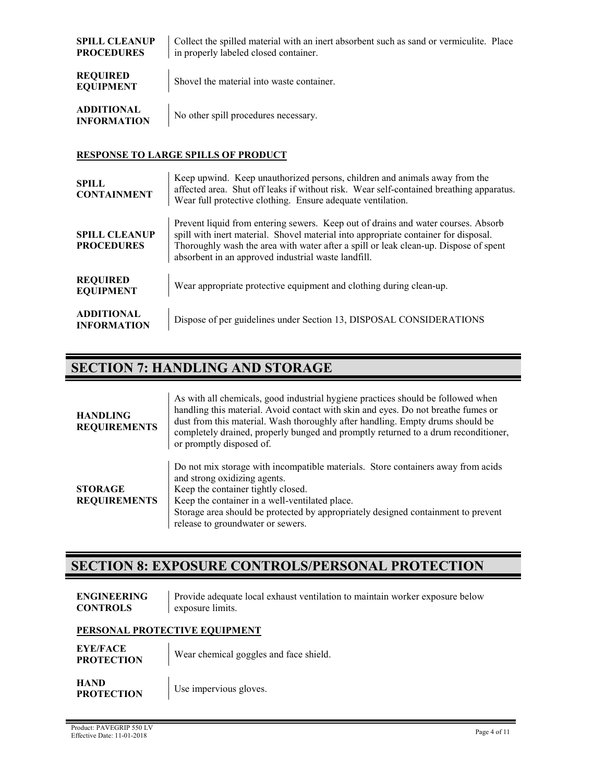| <b>SPILL CLEANUP</b><br><b>PROCEDURES</b> | Collect the spilled material with an inert absorbent such as sand or vermiculite. Place<br>in properly labeled closed container. |
|-------------------------------------------|----------------------------------------------------------------------------------------------------------------------------------|
| <b>REQUIRED</b><br><b>EQUIPMENT</b>       | Shovel the material into waste container.                                                                                        |
| <b>ADDITIONAL</b><br><b>INFORMATION</b>   | No other spill procedures necessary.                                                                                             |

#### **RESPONSE TO LARGE SPILLS OF PRODUCT**

| <b>SPILL</b><br><b>CONTAINMENT</b>        | Keep upwind. Keep unauthorized persons, children and animals away from the<br>affected area. Shut off leaks if without risk. Wear self-contained breathing apparatus.<br>Wear full protective clothing. Ensure adequate ventilation.                                                                                    |
|-------------------------------------------|-------------------------------------------------------------------------------------------------------------------------------------------------------------------------------------------------------------------------------------------------------------------------------------------------------------------------|
| <b>SPILL CLEANUP</b><br><b>PROCEDURES</b> | Prevent liquid from entering sewers. Keep out of drains and water courses. Absorb<br>spill with inert material. Shovel material into appropriate container for disposal.<br>Thoroughly wash the area with water after a spill or leak clean-up. Dispose of spent<br>absorbent in an approved industrial waste landfill. |
| <b>REQUIRED</b><br><b>EQUIPMENT</b>       | Wear appropriate protective equipment and clothing during clean-up.                                                                                                                                                                                                                                                     |
| <b>ADDITIONAL</b><br><b>INFORMATION</b>   | Dispose of per guidelines under Section 13, DISPOSAL CONSIDERATIONS                                                                                                                                                                                                                                                     |

### **SECTION 7: HANDLING AND STORAGE**

| <b>HANDLING</b><br><b>REQUIREMENTS</b> | As with all chemicals, good industrial hygiene practices should be followed when<br>handling this material. Avoid contact with skin and eyes. Do not breathe fumes or<br>dust from this material. Wash thoroughly after handling. Empty drums should be<br>completely drained, properly bunged and promptly returned to a drum reconditioner,<br>or promptly disposed of. |
|----------------------------------------|---------------------------------------------------------------------------------------------------------------------------------------------------------------------------------------------------------------------------------------------------------------------------------------------------------------------------------------------------------------------------|
| <b>STORAGE</b><br><b>REQUIREMENTS</b>  | Do not mix storage with incompatible materials. Store containers away from acids<br>and strong oxidizing agents.<br>Keep the container tightly closed.<br>Keep the container in a well-ventilated place.<br>Storage area should be protected by appropriately designed containment to prevent<br>release to groundwater or sewers.                                        |

### **SECTION 8: EXPOSURE CONTROLS/PERSONAL PROTECTION**

| <b>ENGINEERING</b> | Provide adequate local exhaust ventilation to maintain worker exposure below |
|--------------------|------------------------------------------------------------------------------|
| <b>CONTROLS</b>    | exposure limits.                                                             |

#### **PERSONAL PROTECTIVE EQUIPMENT**

| <b>EYE/FACE</b><br><b>PROTECTION</b> | Wear chemical goggles and face shield. |
|--------------------------------------|----------------------------------------|
| <b>HAND</b><br><b>PROTECTION</b>     | Use impervious gloves.                 |

 $\blacksquare$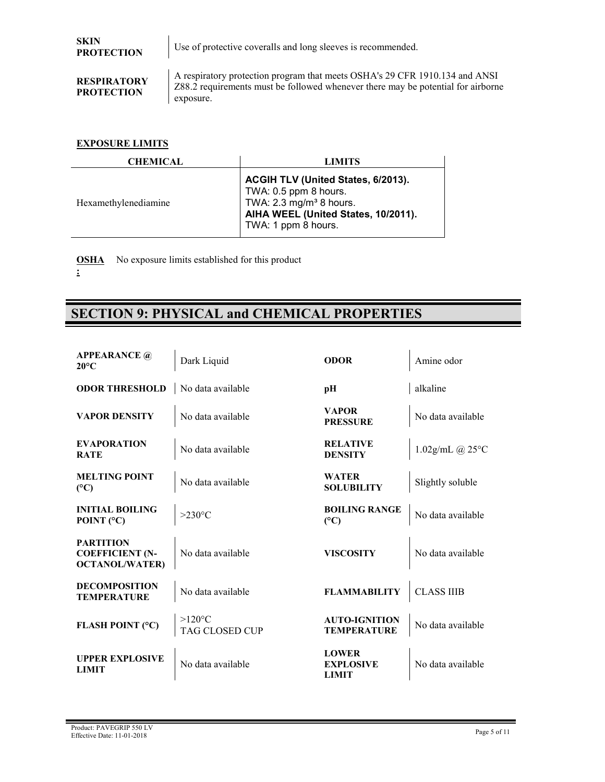**PROTECTION** Use of protective coveralls and long sleeves is recommended.

#### **RESPIRATORY PROTECTION**

A respiratory protection program that meets OSHA's 29 CFR 1910.134 and ANSI Z88.2 requirements must be followed whenever there may be potential for airborne exposure.

#### **EXPOSURE LIMITS**

| CHEMICAL             | LIMITS                                                                                                                                                          |
|----------------------|-----------------------------------------------------------------------------------------------------------------------------------------------------------------|
| Hexamethylenediamine | ACGIH TLV (United States, 6/2013).<br>TWA: 0.5 ppm 8 hours.<br>TWA: $2.3 \text{ mg/m}^3$ 8 hours.<br>AIHA WEEL (United States, 10/2011).<br>TWA: 1 ppm 8 hours. |

**OSHA** No exposure limits established for this product

### **SECTION 9: PHYSICAL and CHEMICAL PROPERTIES**

| <b>APPEARANCE</b> @<br>$20^{\circ}$ C                               | Dark Liquid                        | <b>ODOR</b>                                      | Amine odor                |
|---------------------------------------------------------------------|------------------------------------|--------------------------------------------------|---------------------------|
| <b>ODOR THRESHOLD</b>                                               | No data available                  | pН                                               | alkaline                  |
| <b>VAPOR DENSITY</b>                                                | No data available                  | <b>VAPOR</b><br><b>PRESSURE</b>                  | No data available         |
| <b>EVAPORATION</b><br><b>RATE</b>                                   | No data available                  | <b>RELATIVE</b><br><b>DENSITY</b>                | 1.02g/mL @ $25^{\circ}$ C |
| <b>MELTING POINT</b><br>(C)                                         | No data available                  | <b>WATER</b><br><b>SOLUBILITY</b>                | Slightly soluble          |
| <b>INITIAL BOILING</b><br>POINT $(°C)$                              | $>230^{\circ}$ C                   | <b>BOILING RANGE</b><br>$(^{\circ}C)$            | No data available         |
| <b>PARTITION</b><br><b>COEFFICIENT (N-</b><br><b>OCTANOL/WATER)</b> | No data available                  | <b>VISCOSITY</b>                                 | No data available         |
| <b>DECOMPOSITION</b><br><b>TEMPERATURE</b>                          | No data available                  | <b>FLAMMABILITY</b>                              | <b>CLASS IIIB</b>         |
| FLASH POINT (°C)                                                    | $>120^{\circ}$ C<br>TAG CLOSED CUP | <b>AUTO-IGNITION</b><br><b>TEMPERATURE</b>       | No data available         |
| <b>UPPER EXPLOSIVE</b><br><b>LIMIT</b>                              | No data available                  | <b>LOWER</b><br><b>EXPLOSIVE</b><br><b>LIMIT</b> | No data available         |

**<sup>:</sup>**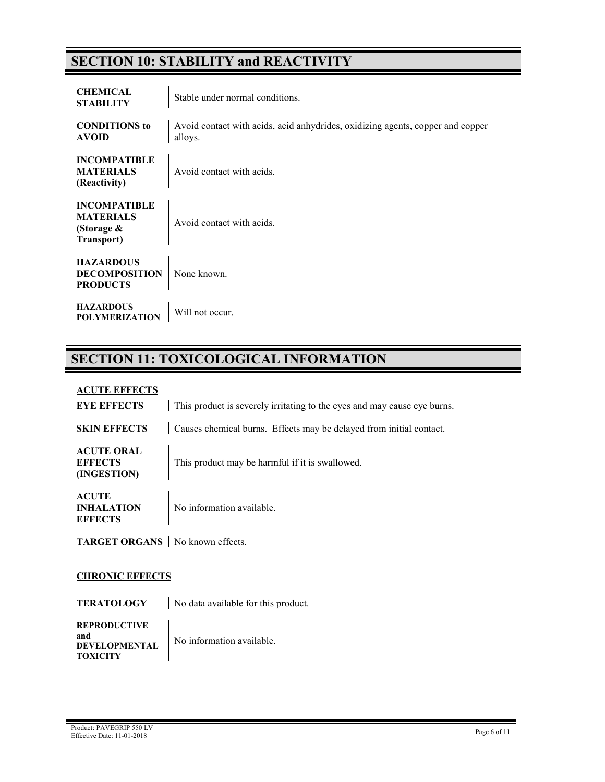### **SECTION 10: STABILITY and REACTIVITY**

| <b>CHEMICAL</b><br><b>STABILITY</b>                                 | Stable under normal conditions.                                                           |
|---------------------------------------------------------------------|-------------------------------------------------------------------------------------------|
| <b>CONDITIONS</b> to<br><b>AVOID</b>                                | Avoid contact with acids, acid anhydrides, oxidizing agents, copper and copper<br>alloys. |
| <b>INCOMPATIBLE</b><br><b>MATERIALS</b><br>(Reactivity)             | Avoid contact with acids.                                                                 |
| <b>INCOMPATIBLE</b><br><b>MATERIALS</b><br>(Storage &<br>Transport) | Avoid contact with acids.                                                                 |
| <b>HAZARDOUS</b><br><b>DECOMPOSITION</b><br><b>PRODUCTS</b>         | None known.                                                                               |
| <b>HAZARDOUS</b><br><b>POLYMERIZATION</b>                           | Will not occur.                                                                           |

### **SECTION 11: TOXICOLOGICAL INFORMATION**

#### **ACUTE EFFECTS**

| <b>EYE EFFECTS</b>                                  | This product is severely irritating to the eyes and may cause eye burns. |
|-----------------------------------------------------|--------------------------------------------------------------------------|
| <b>SKIN EFFECTS</b>                                 | Causes chemical burns. Effects may be delayed from initial contact.      |
| <b>ACUTE ORAL</b><br><b>EFFECTS</b><br>(INGESTION)  | This product may be harmful if it is swallowed.                          |
| <b>ACUTE</b><br><b>INHALATION</b><br><b>EFFECTS</b> | No information available.                                                |
| <b>TARGET ORGANS</b> No known effects.              |                                                                          |

#### **CHRONIC EFFECTS**

**TERATOLOGY** | No data available for this product.

| <b>REPRODUCTIVE</b>  |                           |
|----------------------|---------------------------|
| and                  | No information available. |
| <b>DEVELOPMENTAL</b> |                           |
| <b>TOXICITY</b>      |                           |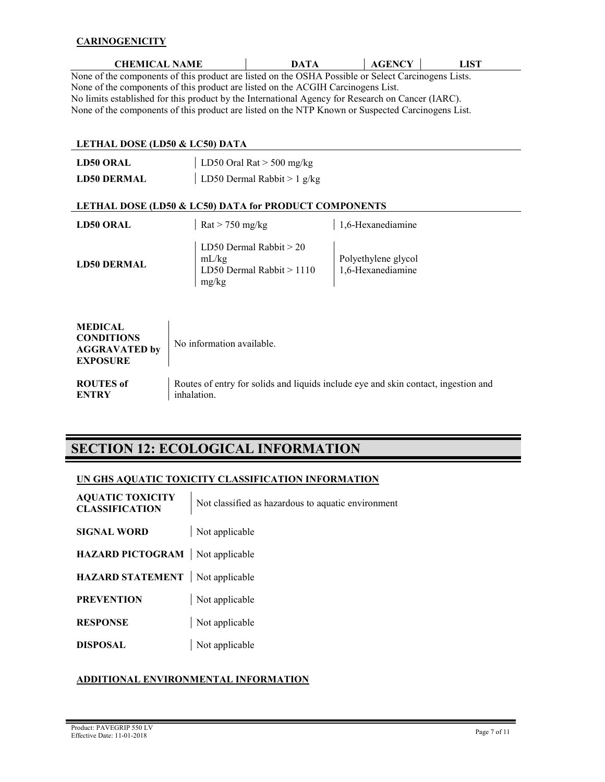#### **CARINOGENICITY**

| <b>CHEMICAL NAME</b>                                                                                | <b>DATA</b> | <b>AGENCY</b> | LIST |  |
|-----------------------------------------------------------------------------------------------------|-------------|---------------|------|--|
| None of the components of this product are listed on the OSHA Possible or Select Carcinogens Lists. |             |               |      |  |
| None of the components of this product are listed on the ACGIH Carcinogens List.                    |             |               |      |  |
| No limits established for this product by the International Agency for Research on Cancer (IARC).   |             |               |      |  |
| None of the components of this product are listed on the NTP Known or Suspected Carcinogens List.   |             |               |      |  |

### **LETHAL DOSE (LD50 & LC50) DATA**

| принип розн (прэз & пезз) рати                                                 |                                                                           |                                                                                    |
|--------------------------------------------------------------------------------|---------------------------------------------------------------------------|------------------------------------------------------------------------------------|
| <b>LD50 ORAL</b>                                                               | LD50 Oral Rat $>$ 500 mg/kg                                               |                                                                                    |
| <b>LD50 DERMAL</b>                                                             | LD50 Dermal Rabbit $> 1$ g/kg                                             |                                                                                    |
|                                                                                | LETHAL DOSE (LD50 & LC50) DATA for PRODUCT COMPONENTS                     |                                                                                    |
| <b>LD50 ORAL</b>                                                               | $\text{Rat}$ > 750 mg/kg                                                  | 1,6-Hexanediamine                                                                  |
| <b>LD50 DERMAL</b>                                                             | LD50 Dermal Rabbit $> 20$<br>mL/kg<br>LD50 Dermal Rabbit $>1110$<br>mg/kg | Polyethylene glycol<br>1,6-Hexanediamine                                           |
| <b>MEDICAL</b><br><b>CONDITIONS</b><br><b>AGGRAVATED by</b><br><b>EXPOSURE</b> | No information available.                                                 |                                                                                    |
| <b>ROUTES</b> of<br><b>ENTRY</b>                                               | inhalation.                                                               | Routes of entry for solids and liquids include eye and skin contact, ingestion and |

### **SECTION 12: ECOLOGICAL INFORMATION**

 $\hat{\mathbf{r}}$ 

#### **UN GHS AQUATIC TOXICITY CLASSIFICATION INFORMATION**

| <b>AQUATIC TOXICITY</b><br><b>CLASSIFICATION</b> | Not classified as hazardous to aquatic environment |
|--------------------------------------------------|----------------------------------------------------|
| <b>SIGNAL WORD</b>                               | Not applicable                                     |
| HAZARD PICTOGRAM   Not applicable                |                                                    |
| <b>HAZARD STATEMENT</b> Not applicable           |                                                    |
| <b>PREVENTION</b>                                | Not applicable                                     |
| <b>RESPONSE</b>                                  | Not applicable                                     |
| <b>DISPOSAL</b>                                  | Not applicable                                     |

#### **ADDITIONAL ENVIRONMENTAL INFORMATION**

۰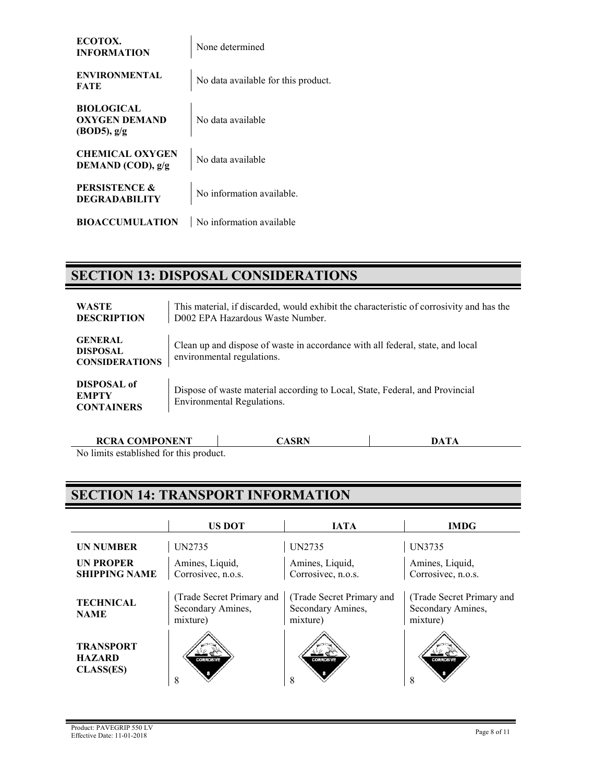| ECOTOX.<br><b>INFORMATION</b>                               | None determined                     |
|-------------------------------------------------------------|-------------------------------------|
| <b>ENVIRONMENTAL</b><br>FATE                                | No data available for this product. |
| <b>BIOLOGICAL</b><br><b>OXYGEN DEMAND</b><br>$(BOD5)$ , g/g | No data available                   |
| <b>CHEMICAL OXYGEN</b><br>DEMAND (COD), g/g                 | No data available                   |
| <b>PERSISTENCE &amp;</b><br><b>DEGRADABILITY</b>            | No information available.           |
| <b>BIOACCUMULATION</b>                                      | No information available            |

### **SECTION 13: DISPOSAL CONSIDERATIONS**

| <b>WASTE</b><br><b>DESCRIPTION</b>                         | This material, if discarded, would exhibit the characteristic of corrosivity and has the<br>D002 EPA Hazardous Waste Number. |
|------------------------------------------------------------|------------------------------------------------------------------------------------------------------------------------------|
| <b>GENERAL</b><br><b>DISPOSAL</b><br><b>CONSIDERATIONS</b> | Clean up and dispose of waste in accordance with all federal, state, and local<br>environmental regulations.                 |
| DISPOSAL of<br><b>EMPTY</b><br><b>CONTAINERS</b>           | Dispose of waste material according to Local, State, Federal, and Provincial<br>Environmental Regulations.                   |

| <b>RCRA COMPONENT</b>                   |  |  |
|-----------------------------------------|--|--|
| No limits established for this product. |  |  |

**SECTION 14: TRANSPORT INFORMATION**

|                                                       | <b>US DOT</b>                                              | <b>IATA</b>                                                | <b>IMDG</b>                                                |
|-------------------------------------------------------|------------------------------------------------------------|------------------------------------------------------------|------------------------------------------------------------|
| <b>UN NUMBER</b>                                      | <b>UN2735</b>                                              | <b>UN2735</b>                                              | UN3735                                                     |
| <b>UN PROPER</b><br><b>SHIPPING NAME</b>              | Amines, Liquid,<br>Corrosivec, n.o.s.                      | Amines, Liquid,<br>Corrosivec, n.o.s.                      | Amines, Liquid,<br>Corrosivec, n.o.s.                      |
| <b>TECHNICAL</b><br><b>NAME</b>                       | (Trade Secret Primary and<br>Secondary Amines,<br>mixture) | (Trade Secret Primary and<br>Secondary Amines,<br>mixture) | (Trade Secret Primary and<br>Secondary Amines,<br>mixture) |
| <b>TRANSPORT</b><br><b>HAZARD</b><br><b>CLASS(ES)</b> | <b>CORROSIVE</b><br>8                                      | <b>CORROSIVI</b>                                           | <b>CORROSIV</b><br>ð                                       |

۰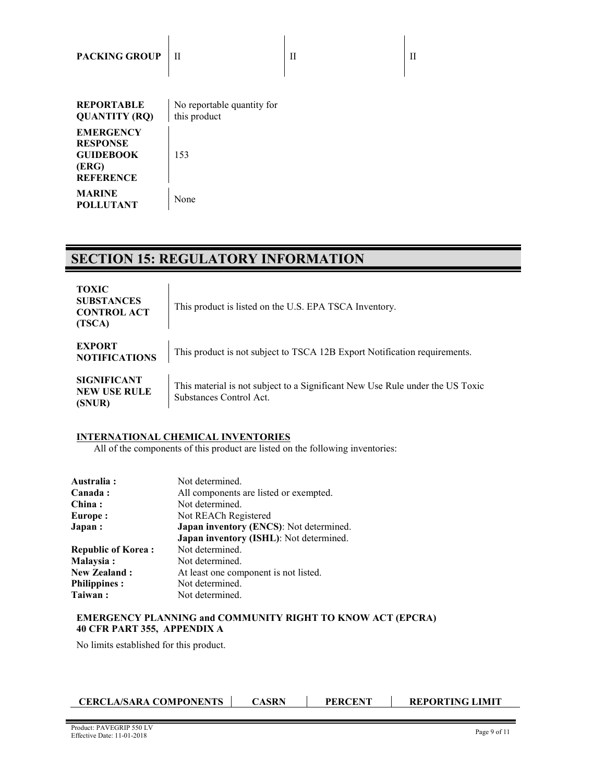| <b>PACKING GROUP</b>                                                                 | H                                          | Н | Н |
|--------------------------------------------------------------------------------------|--------------------------------------------|---|---|
| <b>REPORTABLE</b><br><b>QUANTITY (RQ)</b>                                            | No reportable quantity for<br>this product |   |   |
| <b>EMERGENCY</b><br><b>RESPONSE</b><br><b>GUIDEBOOK</b><br>(ERG)<br><b>REFERENCE</b> | 153                                        |   |   |
| <b>MARINE</b><br><b>POLLUTANT</b>                                                    | None                                       |   |   |

 $\overline{1}$ 

## **SECTION 15: REGULATORY INFORMATION**

| <b>TOXIC</b><br><b>SUBSTANCES</b><br><b>CONTROL ACT</b><br>(TSCA) | This product is listed on the U.S. EPA TSCA Inventory.                                                   |
|-------------------------------------------------------------------|----------------------------------------------------------------------------------------------------------|
| <b>EXPORT</b><br><b>NOTIFICATIONS</b>                             | This product is not subject to TSCA 12B Export Notification requirements.                                |
| <b>SIGNIFICANT</b><br><b>NEW USE RULE</b><br>(SNUR)               | This material is not subject to a Significant New Use Rule under the US Toxic<br>Substances Control Act. |

 $\mathbf{I}$ 

### **INTERNATIONAL CHEMICAL INVENTORIES**

All of the components of this product are listed on the following inventories:

| Australia:                | Not determined.                                                                    |  |
|---------------------------|------------------------------------------------------------------------------------|--|
| Canada:                   | All components are listed or exempted.                                             |  |
| China:                    | Not determined.                                                                    |  |
| Europe:                   | Not REACh Registered                                                               |  |
| Japan:                    | Japan inventory (ENCS): Not determined.<br>Japan inventory (ISHL): Not determined. |  |
| <b>Republic of Korea:</b> | Not determined.                                                                    |  |
| Malaysia:                 | Not determined.                                                                    |  |
| <b>New Zealand:</b>       | At least one component is not listed.                                              |  |
| <b>Philippines:</b>       | Not determined.                                                                    |  |
| Taiwan:                   | Not determined.                                                                    |  |

#### **EMERGENCY PLANNING and COMMUNITY RIGHT TO KNOW ACT (EPCRA) 40 CFR PART 355, APPENDIX A**

No limits established for this product.

| <b>CERCLA/SARA COMPONENTS</b> | CASRN | <b>PERCENT</b> | <b>REPORTING LIMIT</b> |
|-------------------------------|-------|----------------|------------------------|
|-------------------------------|-------|----------------|------------------------|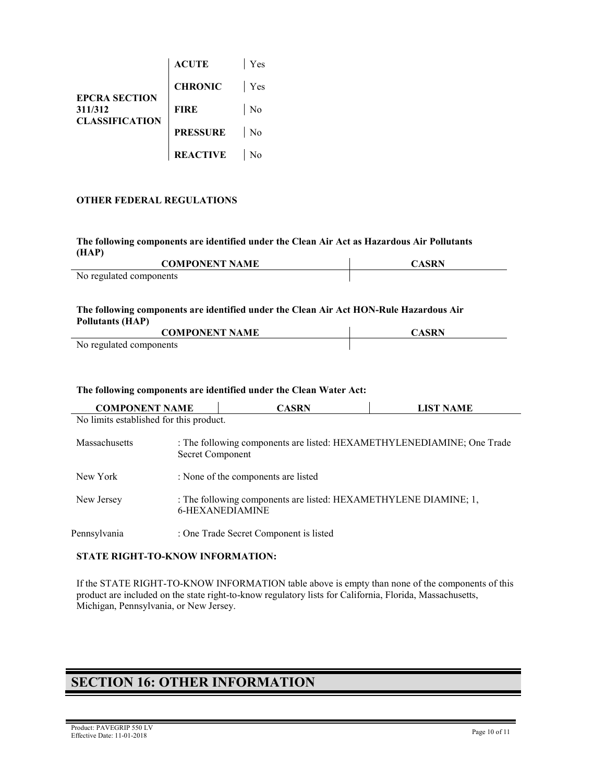|                                 | <b>ACUTE</b>    | Yes            |
|---------------------------------|-----------------|----------------|
|                                 | <b>CHRONIC</b>  | Yes            |
| <b>EPCRA SECTION</b><br>311/312 | FIRE            | No             |
| <b>CLASSIFICATION</b>           | <b>PRESSURE</b> | N <sub>o</sub> |
|                                 | <b>REACTIVE</b> |                |

#### **OTHER FEDERAL REGULATIONS**

l,

#### **The following components are identified under the Clean Air Act as Hazardous Air Pollutants (HAP)**

| <b>COMPONENT NAME</b>   | CASRN |
|-------------------------|-------|
| No regulated components |       |

#### **The following components are identified under the Clean Air Act HON-Rule Hazardous Air Pollutants (HAP)**

| <b>COMPONENT NAME</b>   | CASRN |
|-------------------------|-------|
| No regulated components |       |

#### **The following components are identified under the Clean Water Act:**

| <b>COMPONENT NAME</b>                   |                                                                                            | <b>CASRN</b>                           | <b>LIST NAME</b> |
|-----------------------------------------|--------------------------------------------------------------------------------------------|----------------------------------------|------------------|
| No limits established for this product. |                                                                                            |                                        |                  |
| Massachusetts                           | : The following components are listed: HEXAMETHYLENEDIAMINE; One Trade<br>Secret Component |                                        |                  |
| New York                                |                                                                                            | : None of the components are listed    |                  |
| New Jersey                              | : The following components are listed: HEXAMETHYLENE DIAMINE; 1,<br><b>6-HEXANEDIAMINE</b> |                                        |                  |
| Pennsylvania                            |                                                                                            | : One Trade Secret Component is listed |                  |

#### **STATE RIGHT-TO-KNOW INFORMATION:**

If the STATE RIGHT-TO-KNOW INFORMATION table above is empty than none of the components of this product are included on the state right-to-know regulatory lists for California, Florida, Massachusetts, Michigan, Pennsylvania, or New Jersey.

### **SECTION 16: OTHER INFORMATION**

٠